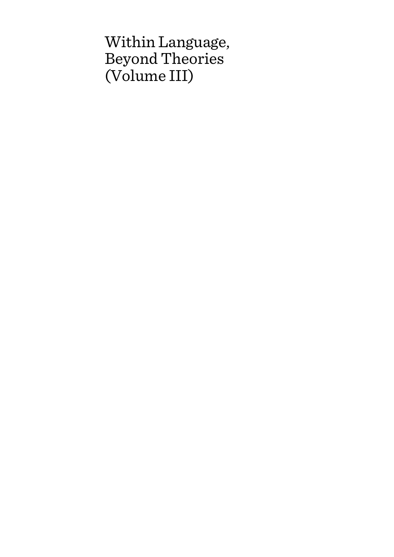# Within Language, Beyond Theories (Volume III)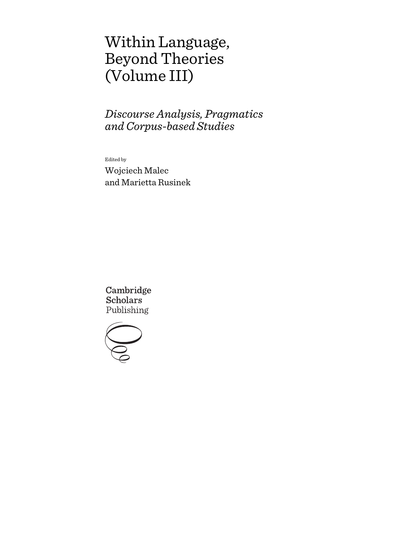# Within Language, Beyond Theories (Volume III)

*Discourse Analysis, Pragmatics and Corpus-based Studies*

Edited by

Wojciech Malec and Marietta Rusinek

Cambridge **Scholars** Publishing

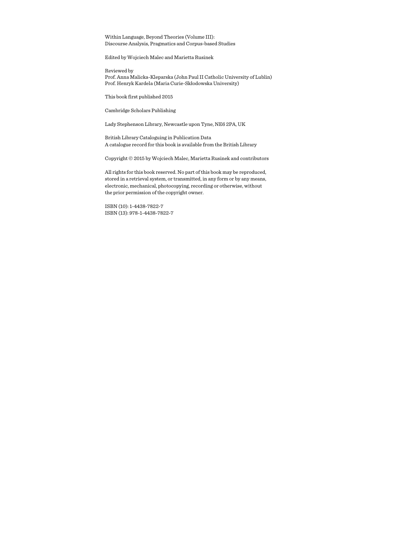Within Language, Beyond Theories (Volume III): Discourse Analysis, Pragmatics and Corpus-based Studies

Edited by Wojciech Malec and Marietta Rusinek

Reviewed by Prof. Anna Malicka-Kleparska (John Paul II Catholic University of Lublin) Prof. Henryk Kardela (Maria Curie-Skłodowska University)

This book first published 2015

Cambridge Scholars Publishing

Lady Stephenson Library, Newcastle upon Tyne, NE6 2PA, UK

British Library Cataloguing in Publication Data A catalogue record for this book is available from the British Library

Copyright © 2015 by Wojciech Malec, Marietta Rusinek and contributors

All rights for this book reserved. No part of this book may be reproduced, stored in a retrieval system, or transmitted, in any form or by any means, electronic, mechanical, photocopying, recording or otherwise, without the prior permission of the copyright owner.

ISBN (10): 1-4438-7822-7 ISBN (13): 978-1-4438-7822-7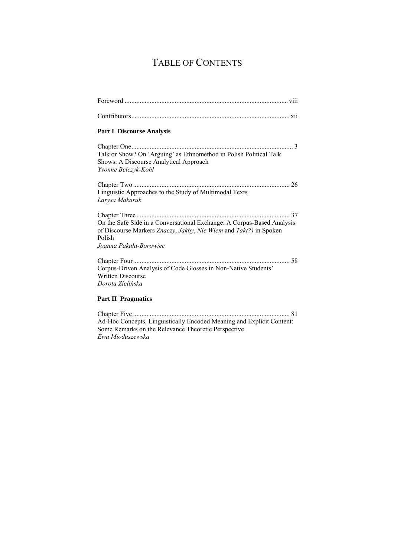## TABLE OF CONTENTS

| <b>Part II Pragmatics</b>                                              |
|------------------------------------------------------------------------|
| Dorota Zielińska                                                       |
| <b>Written Discourse</b>                                               |
| Corpus-Driven Analysis of Code Glosses in Non-Native Students'         |
|                                                                        |
| Joanna Pakuła-Borowiec                                                 |
| Polish                                                                 |
| of Discourse Markers Znaczy, Jakby, Nie Wiem and Tak(?) in Spoken      |
| On the Safe Side in a Conversational Exchange: A Corpus-Based Analysis |
|                                                                        |
| Larysa Makaruk                                                         |
| Linguistic Approaches to the Study of Multimodal Texts                 |
|                                                                        |
|                                                                        |
| Shows: A Discourse Analytical Approach<br>Yvonne Belczyk-Kohl          |
| Talk or Show? On 'Arguing' as Ethnomethod in Polish Political Talk     |
|                                                                        |
|                                                                        |
| <b>Part I Discourse Analysis</b>                                       |
|                                                                        |
|                                                                        |
|                                                                        |

Chapter Five .............................................................................................. 81 Ad-Hoc Concepts, Linguistically Encoded Meaning and Explicit Content: Some Remarks on the Relevance Theoretic Perspective *Ewa Mioduszewska*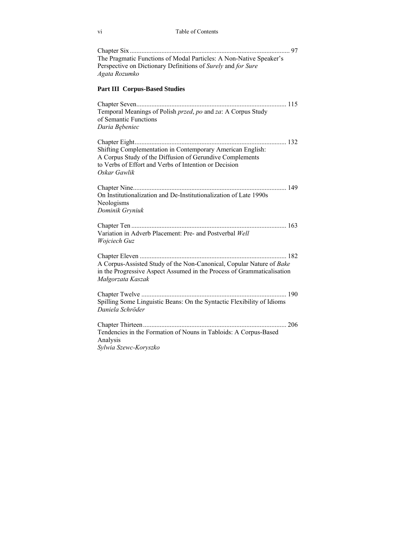| The Pragmatic Functions of Modal Particles: A Non-Native Speaker's<br>Perspective on Dictionary Definitions of Surely and for Sure<br>Agata Rozumko                                             |
|-------------------------------------------------------------------------------------------------------------------------------------------------------------------------------------------------|
| <b>Part III Corpus-Based Studies</b>                                                                                                                                                            |
| Temporal Meanings of Polish przed, po and za: A Corpus Study<br>of Semantic Functions<br>Daria Bębeniec                                                                                         |
|                                                                                                                                                                                                 |
| Shifting Complementation in Contemporary American English:<br>A Corpus Study of the Diffusion of Gerundive Complements<br>to Verbs of Effort and Verbs of Intention or Decision<br>Oskar Gawlik |
| On Institutionalization and De-Institutionalization of Late 1990s<br>Neologisms<br>Dominik Gryniuk                                                                                              |
| Variation in Adverb Placement: Pre- and Postverbal Well<br>Wojciech Guz                                                                                                                         |
| A Corpus-Assisted Study of the Non-Canonical, Copular Nature of Bake<br>in the Progressive Aspect Assumed in the Process of Grammaticalisation<br>Małgorzata Kaszak                             |
| Spilling Some Linguistic Beans: On the Syntactic Flexibility of Idioms<br>Daniela Schröder                                                                                                      |
| Tendencies in the Formation of Nouns in Tabloids: A Corpus-Based<br>Analysis<br>Sylwia Szewc-Koryszko                                                                                           |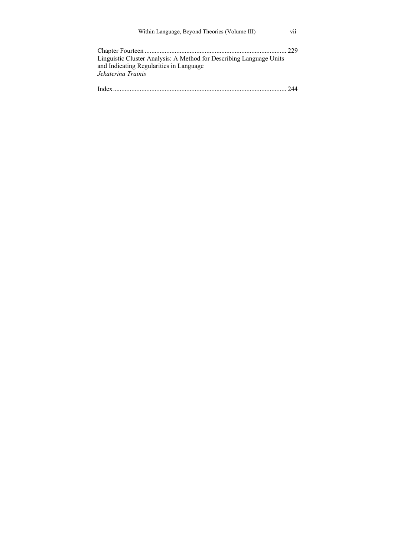| Within Language, Beyond Theories (Volume III)                       | V11 |
|---------------------------------------------------------------------|-----|
| Linguistic Cluster Analysis: A Method for Describing Language Units |     |
| and Indicating Regularities in Language<br>Jekaterina Trainis       |     |
|                                                                     |     |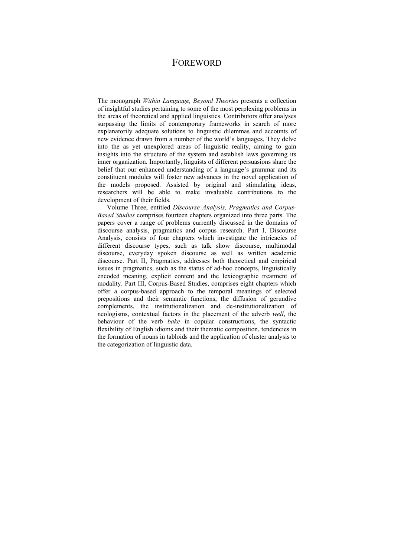## FOREWORD

The monograph *Within Language, Beyond Theories* presents a collection of insightful studies pertaining to some of the most perplexing problems in the areas of theoretical and applied linguistics. Contributors offer analyses surpassing the limits of contemporary frameworks in search of more explanatorily adequate solutions to linguistic dilemmas and accounts of new evidence drawn from a number of the world's languages. They delve into the as yet unexplored areas of linguistic reality, aiming to gain insights into the structure of the system and establish laws governing its inner organization. Importantly, linguists of different persuasions share the belief that our enhanced understanding of a language's grammar and its constituent modules will foster new advances in the novel application of the models proposed. Assisted by original and stimulating ideas, researchers will be able to make invaluable contributions to the development of their fields.

Volume Three, entitled *Discourse Analysis, Pragmatics and Corpus-Based Studies* comprises fourteen chapters organized into three parts. The papers cover a range of problems currently discussed in the domains of discourse analysis, pragmatics and corpus research. Part I, Discourse Analysis, consists of four chapters which investigate the intricacies of different discourse types, such as talk show discourse, multimodal discourse, everyday spoken discourse as well as written academic discourse. Part II, Pragmatics, addresses both theoretical and empirical issues in pragmatics, such as the status of ad-hoc concepts, linguistically encoded meaning, explicit content and the lexicographic treatment of modality. Part III, Corpus-Based Studies, comprises eight chapters which offer a corpus-based approach to the temporal meanings of selected prepositions and their semantic functions, the diffusion of gerundive complements, the institutionalization and de-institutionalization of neologisms, contextual factors in the placement of the adverb *well*, the behaviour of the verb *bake* in copular constructions, the syntactic flexibility of English idioms and their thematic composition, tendencies in the formation of nouns in tabloids and the application of cluster analysis to the categorization of linguistic data.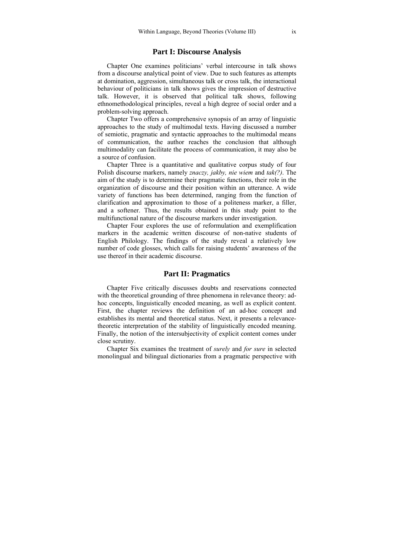### **Part I: Discourse Analysis**

Chapter One examines politicians' verbal intercourse in talk shows from a discourse analytical point of view. Due to such features as attempts at domination, aggression, simultaneous talk or cross talk, the interactional behaviour of politicians in talk shows gives the impression of destructive talk. However, it is observed that political talk shows, following ethnomethodological principles, reveal a high degree of social order and a problem-solving approach.

Chapter Two offers a comprehensive synopsis of an array of linguistic approaches to the study of multimodal texts. Having discussed a number of semiotic, pragmatic and syntactic approaches to the multimodal means of communication, the author reaches the conclusion that although multimodality can facilitate the process of communication, it may also be a source of confusion.

Chapter Three is a quantitative and qualitative corpus study of four Polish discourse markers, namely *znaczy, jakby, nie wiem* and *tak(?)*. The aim of the study is to determine their pragmatic functions, their role in the organization of discourse and their position within an utterance. A wide variety of functions has been determined, ranging from the function of clarification and approximation to those of a politeness marker, a filler, and a softener. Thus, the results obtained in this study point to the multifunctional nature of the discourse markers under investigation.

Chapter Four explores the use of reformulation and exemplification markers in the academic written discourse of non-native students of English Philology. The findings of the study reveal a relatively low number of code glosses, which calls for raising students' awareness of the use thereof in their academic discourse.

### **Part II: Pragmatics**

Chapter Five critically discusses doubts and reservations connected with the theoretical grounding of three phenomena in relevance theory: adhoc concepts, linguistically encoded meaning, as well as explicit content. First, the chapter reviews the definition of an ad-hoc concept and establishes its mental and theoretical status. Next, it presents a relevancetheoretic interpretation of the stability of linguistically encoded meaning. Finally, the notion of the intersubjectivity of explicit content comes under close scrutiny.

Chapter Six examines the treatment of *surely* and *for sure* in selected monolingual and bilingual dictionaries from a pragmatic perspective with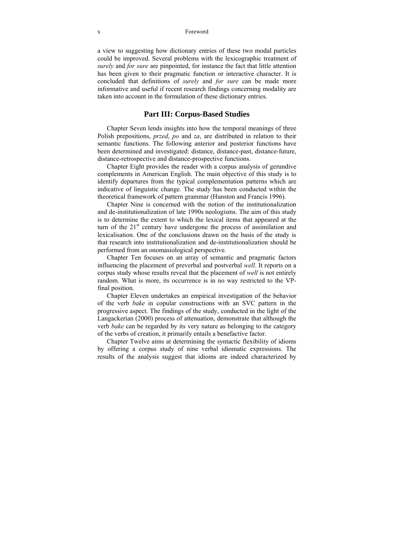#### x Foreword

a view to suggesting how dictionary entries of these two modal particles could be improved. Several problems with the lexicographic treatment of *surely* and *for sure* are pinpointed, for instance the fact that little attention has been given to their pragmatic function or interactive character. It is concluded that definitions of *surely* and *for sure* can be made more informative and useful if recent research findings concerning modality are taken into account in the formulation of these dictionary entries.

### **Part III: Corpus-Based Studies**

Chapter Seven lends insights into how the temporal meanings of three Polish prepositions, *przed*, *po* and *za*, are distributed in relation to their semantic functions. The following anterior and posterior functions have been determined and investigated: distance, distance-past, distance-future, distance-retrospective and distance-prospective functions.

Chapter Eight provides the reader with a corpus analysis of gerundive complements in American English. The main objective of this study is to identify departures from the typical complementation patterns which are indicative of linguistic change. The study has been conducted within the theoretical framework of pattern grammar (Hunston and Francis 1996).

Chapter Nine is concerned with the notion of the institutionalization and de-institutionalization of late 1990s neologisms. The aim of this study is to determine the extent to which the lexical items that appeared at the turn of the  $21<sup>st</sup>$  century have undergone the process of assimilation and lexicalisation. One of the conclusions drawn on the basis of the study is that research into institutionalization and de-institutionalization should be performed from an onomasiological perspective.

Chapter Ten focuses on an array of semantic and pragmatic factors influencing the placement of preverbal and postverbal *well*. It reports on a corpus study whose results reveal that the placement of *well* is not entirely random. What is more, its occurrence is in no way restricted to the VPfinal position.

Chapter Eleven undertakes an empirical investigation of the behavior of the verb *bake* in copular constructions with an SVC pattern in the progressive aspect. The findings of the study, conducted in the light of the Langackerian (2000) process of attenuation, demonstrate that although the verb *bake* can be regarded by its very nature as belonging to the category of the verbs of creation, it primarily entails a benefactive factor.

Chapter Twelve aims at determining the syntactic flexibility of idioms by offering a corpus study of nine verbal idiomatic expressions. The results of the analysis suggest that idioms are indeed characterized by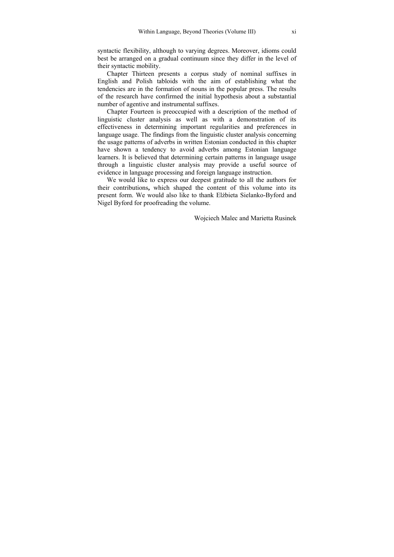syntactic flexibility, although to varying degrees. Moreover, idioms could best be arranged on a gradual continuum since they differ in the level of their syntactic mobility.

Chapter Thirteen presents a corpus study of nominal suffixes in English and Polish tabloids with the aim of establishing what the tendencies are in the formation of nouns in the popular press. The results of the research have confirmed the initial hypothesis about a substantial number of agentive and instrumental suffixes.

Chapter Fourteen is preoccupied with a description of the method of linguistic cluster analysis as well as with a demonstration of its effectiveness in determining important regularities and preferences in language usage. The findings from the linguistic cluster analysis concerning the usage patterns of adverbs in written Estonian conducted in this chapter have shown a tendency to avoid adverbs among Estonian language learners. It is believed that determining certain patterns in language usage through a linguistic cluster analysis may provide a useful source of evidence in language processing and foreign language instruction.

We would like to express our deepest gratitude to all the authors for their contributions**,** which shaped the content of this volume into its present form. We would also like to thank Elżbieta Sielanko-Byford and Nigel Byford for proofreading the volume.

Wojciech Malec and Marietta Rusinek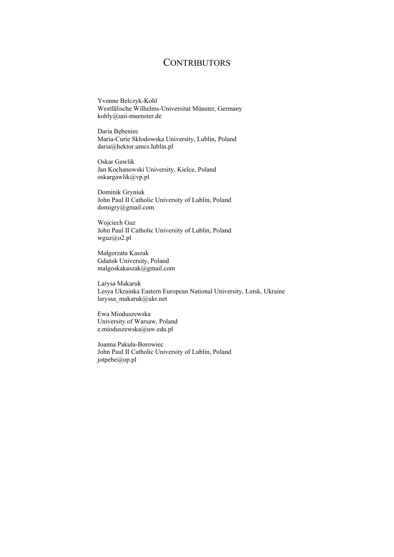### **CONTRIBUTORS**

Yvonne Belczyk-Kohl Westfälische Wilhelms-Universitat Münster, Germany kohly@uni-muenster.de

Daria Bębeniec Maria-Curie Skłodowska University, Lublin, Poland daria@hektor.umcs.lublin.pl

Oskar Gawlik Jan Kochanowski University, Kielce, Poland oskargawlik@vp.pl

Dominik Gryniuk John Paul II Catholic University of Lublin, Poland domigry@gmail.com

Wojciech Guz John Paul II Catholic University of Lublin, Poland wguz@o2.pl

Małgorzata Kaszak Gdańsk University, Poland malgoskakaszak@gmail.com

Larysa Makaruk Lesya Ukrainka Eastern European National University, Lutsk, Ukraine laryssa\_makaruk@ukr.net

Ewa Mioduszewska University of Warsaw, Poland e.mioduszewska@uw.edu.pl

Joanna Pakuła-Borowiec John Paul II Catholic University of Lublin, Poland jotpebe@op.pl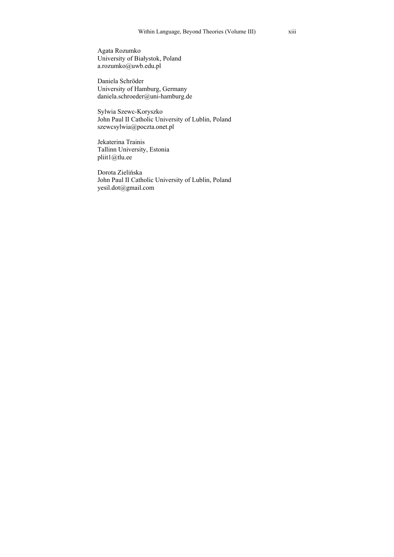Agata Rozumko University of Białystok, Poland a.rozumko@uwb.edu.pl

Daniela Schröder University of Hamburg, Germany daniela.schroeder@uni-hamburg.de

Sylwia Szewc-Koryszko John Paul II Catholic University of Lublin, Poland szewcsylwia@poczta.onet.pl

Jekaterina Trainis Tallinn University, Estonia pliit1@tlu.ee

Dorota Zielińska John Paul II Catholic University of Lublin, Poland yesil.dot@gmail.com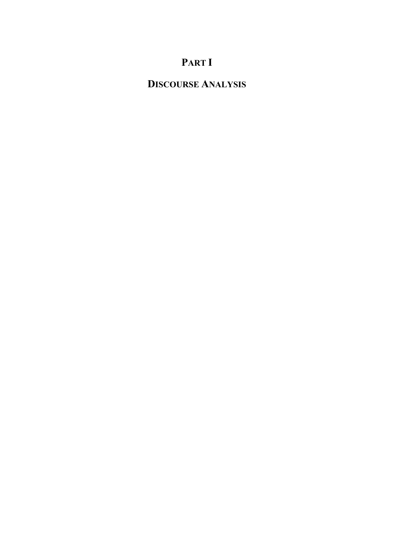# **PART I**

## **DISCOURSE ANALYSIS**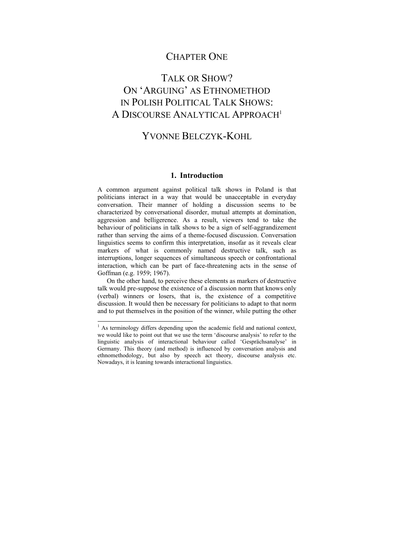### CHAPTER ONE

## TALK OR SHOW? ON 'ARGUING' AS ETHNOMETHOD IN POLISH POLITICAL TALK SHOWS: A DISCOURSE ANALYTICAL APPROACH<sup>1</sup>

## YVONNE BELCZYK-KOHL

#### **1. Introduction**

A common argument against political talk shows in Poland is that politicians interact in a way that would be unacceptable in everyday conversation. Their manner of holding a discussion seems to be characterized by conversational disorder, mutual attempts at domination, aggression and belligerence. As a result, viewers tend to take the behaviour of politicians in talk shows to be a sign of self-aggrandizement rather than serving the aims of a theme-focused discussion. Conversation linguistics seems to confirm this interpretation, insofar as it reveals clear markers of what is commonly named destructive talk, such as interruptions, longer sequences of simultaneous speech or confrontational interaction, which can be part of face-threatening acts in the sense of Goffman (e.g. 1959; 1967).

On the other hand, to perceive these elements as markers of destructive talk would pre-suppose the existence of a discussion norm that knows only (verbal) winners or losers, that is, the existence of a competitive discussion. It would then be necessary for politicians to adapt to that norm and to put themselves in the position of the winner, while putting the other

<sup>&</sup>lt;sup>1</sup> As terminology differs depending upon the academic field and national context, we would like to point out that we use the term 'discourse analysis' to refer to the linguistic analysis of interactional behaviour called 'Gesprächsanalyse' in Germany. This theory (and method) is influenced by conversation analysis and ethnomethodology, but also by speech act theory, discourse analysis etc. Nowadays, it is leaning towards interactional linguistics.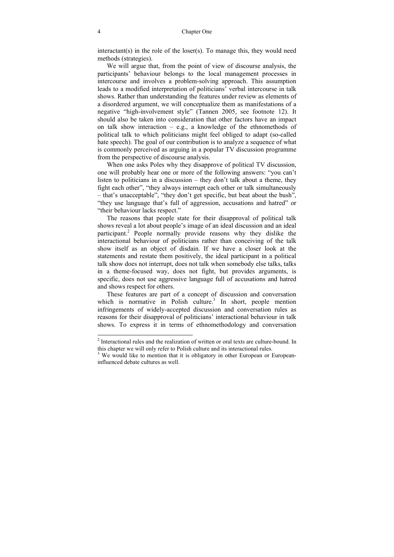interactant(s) in the role of the loser(s). To manage this, they would need methods (strategies).

We will argue that, from the point of view of discourse analysis, the participants' behaviour belongs to the local management processes in intercourse and involves a problem-solving approach. This assumption leads to a modified interpretation of politicians' verbal intercourse in talk shows. Rather than understanding the features under review as elements of a disordered argument, we will conceptualize them as manifestations of a negative "high-involvement style" (Tannen 2005, see footnote 12). It should also be taken into consideration that other factors have an impact on talk show interaction – e.g., a knowledge of the ethnomethods of political talk to which politicians might feel obliged to adapt (so-called hate speech). The goal of our contribution is to analyze a sequence of what is commonly perceived as arguing in a popular TV discussion programme from the perspective of discourse analysis.

When one asks Poles why they disapprove of political TV discussion, one will probably hear one or more of the following answers: "you can't listen to politicians in a discussion – they don't talk about a theme, they fight each other", "they always interrupt each other or talk simultaneously – that's unacceptable", "they don't get specific, but beat about the bush", "they use language that's full of aggression, accusations and hatred" or "their behaviour lacks respect."

The reasons that people state for their disapproval of political talk shows reveal a lot about people's image of an ideal discussion and an ideal participant.<sup>2</sup> People normally provide reasons why they dislike the interactional behaviour of politicians rather than conceiving of the talk show itself as an object of disdain. If we have a closer look at the statements and restate them positively, the ideal participant in a political talk show does not interrupt, does not talk when somebody else talks, talks in a theme-focused way, does not fight, but provides arguments, is specific, does not use aggressive language full of accusations and hatred and shows respect for others.

These features are part of a concept of discussion and conversation which is normative in Polish culture.<sup>3</sup> In short, people mention infringements of widely-accepted discussion and conversation rules as reasons for their disapproval of politicians' interactional behaviour in talk shows. To express it in terms of ethnomethodology and conversation

l

 $2$  Interactional rules and the realization of written or oral texts are culture-bound. In this chapter we will only refer to Polish culture and its interactional rules. 3

<sup>&</sup>lt;sup>3</sup> We would like to mention that it is obligatory in other European or Europeaninfluenced debate cultures as well.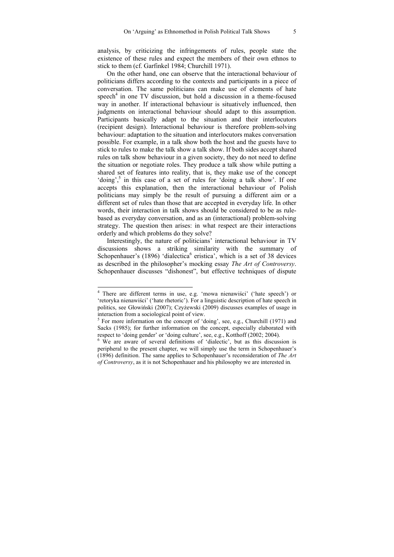analysis, by criticizing the infringements of rules, people state the existence of these rules and expect the members of their own ethnos to stick to them (cf. Garfinkel 1984; Churchill 1971).

On the other hand, one can observe that the interactional behaviour of politicians differs according to the contexts and participants in a piece of conversation. The same politicians can make use of elements of hate  $speech<sup>4</sup>$  in one TV discussion, but hold a discussion in a theme-focused way in another. If interactional behaviour is situatively influenced, then judgments on interactional behaviour should adapt to this assumption. Participants basically adapt to the situation and their interlocutors (recipient design). Interactional behaviour is therefore problem-solving behaviour: adaptation to the situation and interlocutors makes conversation possible. For example, in a talk show both the host and the guests have to stick to rules to make the talk show a talk show. If both sides accept shared rules on talk show behaviour in a given society, they do not need to define the situation or negotiate roles. They produce a talk show while putting a shared set of features into reality, that is, they make use of the concept 'doing',<sup>5</sup> in this case of a set of rules for 'doing a talk show'. If one accepts this explanation, then the interactional behaviour of Polish politicians may simply be the result of pursuing a different aim or a different set of rules than those that are accepted in everyday life. In other words, their interaction in talk shows should be considered to be as rulebased as everyday conversation, and as an (interactional) problem-solving strategy. The question then arises: in what respect are their interactions orderly and which problems do they solve?

Interestingly, the nature of politicians' interactional behaviour in TV discussions shows a striking similarity with the summary of Schopenhauer's (1896) 'dialectica<sup>6</sup> eristica', which is a set of 38 devices as described in the philosopher's mocking essay *The Art of Controversy*. Schopenhauer discusses "dishonest", but effective techniques of dispute

<sup>4</sup> There are different terms in use, e.g. 'mowa nienawiści' ('hate speech') or 'retoryka nienawiści' ('hate rhetoric'). For a linguistic description of hate speech in politics, see Głowiński (2007); Czyżewski (2009) discusses examples of usage in interaction from a sociological point of view. 5

 $5$  For more information on the concept of 'doing', see, e.g., Churchill (1971) and Sacks (1985); for further information on the concept, especially elaborated with respect to 'doing gender' or 'doing culture', see, e.g., Kotthoff (2002; 2004).

<sup>&</sup>lt;sup>6</sup> We are aware of several definitions of 'dialectic', but as this discussion is peripheral to the present chapter, we will simply use the term in Schopenhauer's (1896) definition. The same applies to Schopenhauer's reconsideration of *The Art of Controversy*, as it is not Schopenhauer and his philosophy we are interested in*.*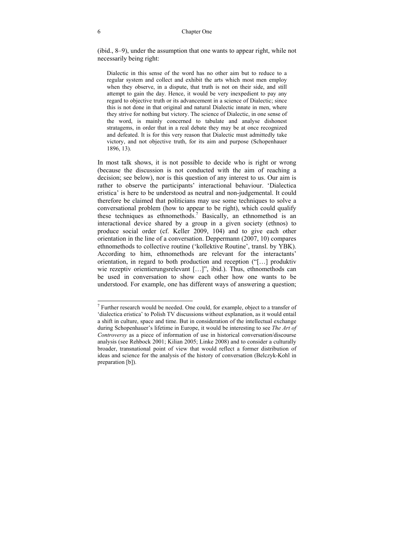(ibid., 8*–*9), under the assumption that one wants to appear right, while not necessarily being right:

Dialectic in this sense of the word has no other aim but to reduce to a regular system and collect and exhibit the arts which most men employ when they observe, in a dispute, that truth is not on their side, and still attempt to gain the day. Hence, it would be very inexpedient to pay any regard to objective truth or its advancement in a science of Dialectic; since this is not done in that original and natural Dialectic innate in men, where they strive for nothing but victory. The science of Dialectic, in one sense of the word, is mainly concerned to tabulate and analyse dishonest stratagems, in order that in a real debate they may be at once recognized and defeated. It is for this very reason that Dialectic must admittedly take victory, and not objective truth, for its aim and purpose (Schopenhauer 1896, 13).

In most talk shows, it is not possible to decide who is right or wrong (because the discussion is not conducted with the aim of reaching a decision; see below), nor is this question of any interest to us. Our aim is rather to observe the participants' interactional behaviour. 'Dialectica eristica' is here to be understood as neutral and non-judgemental. It could therefore be claimed that politicians may use some techniques to solve a conversational problem (how to appear to be right), which could qualify these techniques as ethnomethods.<sup>7</sup> Basically, an ethnomethod is an interactional device shared by a group in a given society (ethnos) to produce social order (cf. Keller 2009, 104) and to give each other orientation in the line of a conversation. Deppermann (2007, 10) compares ethnomethods to collective routine ('kollektive Routine', transl. by YBK). According to him, ethnomethods are relevant for the interactants' orientation, in regard to both production and reception ("[…] produktiv wie rezeptiv orientierungsrelevant [...]", ibid.). Thus, ethnomethods can be used in conversation to show each other how one wants to be understood. For example, one has different ways of answering a question;

 $<sup>7</sup>$  Further research would be needed. One could, for example, object to a transfer of</sup> 'dialectica eristica' to Polish TV discussions without explanation, as it would entail a shift in culture, space and time. But in consideration of the intellectual exchange during Schopenhauer's lifetime in Europe, it would be interesting to see *The Art of Controversy* as a piece of information of use in historical conversation/discourse analysis (see Rehbock 2001; Kilian 2005; Linke 2008) and to consider a culturally broader, transnational point of view that would reflect a former distribution of ideas and science for the analysis of the history of conversation (Belczyk-Kohl in preparation [b]).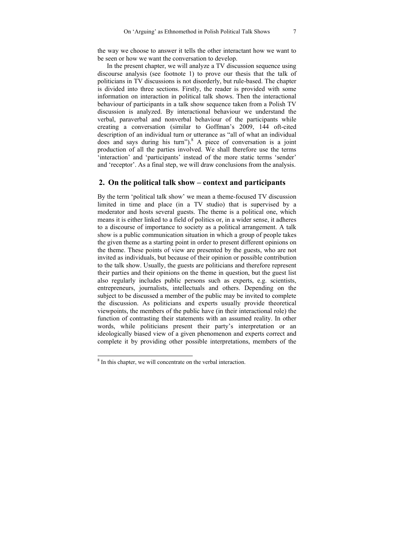the way we choose to answer it tells the other interactant how we want to be seen or how we want the conversation to develop.

In the present chapter, we will analyze a TV discussion sequence using discourse analysis (see footnote 1) to prove our thesis that the talk of politicians in TV discussions is not disorderly, but rule-based. The chapter is divided into three sections. Firstly, the reader is provided with some information on interaction in political talk shows. Then the interactional behaviour of participants in a talk show sequence taken from a Polish TV discussion is analyzed. By interactional behaviour we understand the verbal, paraverbal and nonverbal behaviour of the participants while creating a conversation (similar to Goffman's 2009, 144 oft-cited description of an individual turn or utterance as "all of what an individual does and says during his turn"). $8$  A piece of conversation is a joint production of all the parties involved. We shall therefore use the terms 'interaction' and 'participants' instead of the more static terms 'sender' and 'receptor'. As a final step, we will draw conclusions from the analysis.

### **2. On the political talk show – context and participants**

By the term 'political talk show' we mean a theme-focused TV discussion limited in time and place (in a TV studio) that is supervised by a moderator and hosts several guests. The theme is a political one, which means it is either linked to a field of politics or, in a wider sense, it adheres to a discourse of importance to society as a political arrangement. A talk show is a public communication situation in which a group of people takes the given theme as a starting point in order to present different opinions on the theme. These points of view are presented by the guests, who are not invited as individuals, but because of their opinion or possible contribution to the talk show. Usually, the guests are politicians and therefore represent their parties and their opinions on the theme in question, but the guest list also regularly includes public persons such as experts, e.g. scientists, entrepreneurs, journalists, intellectuals and others. Depending on the subject to be discussed a member of the public may be invited to complete the discussion. As politicians and experts usually provide theoretical viewpoints, the members of the public have (in their interactional role) the function of contrasting their statements with an assumed reality. In other words, while politicians present their party's interpretation or an ideologically biased view of a given phenomenon and experts correct and complete it by providing other possible interpretations, members of the

<sup>&</sup>lt;sup>8</sup> In this chapter, we will concentrate on the verbal interaction.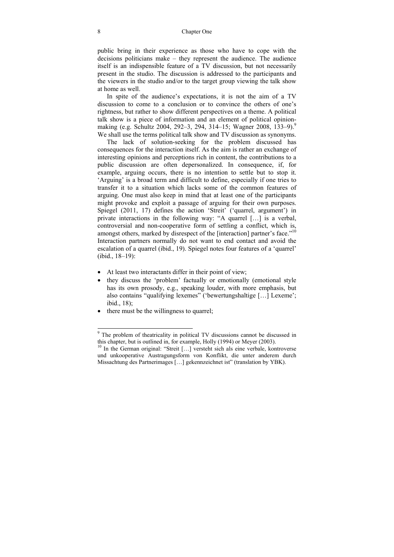public bring in their experience as those who have to cope with the decisions politicians make – they represent the audience. The audience itself is an indispensible feature of a TV discussion, but not necessarily present in the studio. The discussion is addressed to the participants and the viewers in the studio and/or to the target group viewing the talk show at home as well.

In spite of the audience's expectations, it is not the aim of a TV discussion to come to a conclusion or to convince the others of one's rightness, but rather to show different perspectives on a theme. A political talk show is a piece of information and an element of political opinionmaking (e.g. Schultz 2004, 292*–*3, 294, 314*–*15; Wagner 2008, 133–9).9 We shall use the terms political talk show and TV discussion as synonyms.

The lack of solution-seeking for the problem discussed has consequences for the interaction itself. As the aim is rather an exchange of interesting opinions and perceptions rich in content, the contributions to a public discussion are often depersonalized. In consequence, if, for example, arguing occurs, there is no intention to settle but to stop it. 'Arguing' is a broad term and difficult to define, especially if one tries to transfer it to a situation which lacks some of the common features of arguing. One must also keep in mind that at least one of the participants might provoke and exploit a passage of arguing for their own purposes. Spiegel (2011, 17) defines the action 'Streit' ('quarrel, argument') in private interactions in the following way: "A quarrel […] is a verbal, controversial and non-cooperative form of settling a conflict, which is, amongst others, marked by disrespect of the [interaction] partner's face."<sup>10</sup> Interaction partners normally do not want to end contact and avoid the escalation of a quarrel (ibid., 19). Spiegel notes four features of a 'quarrel' (ibid., 18*–*19):

- At least two interactants differ in their point of view;
- they discuss the 'problem' factually or emotionally (emotional style has its own prosody, e.g., speaking louder, with more emphasis, but also contains "qualifying lexemes" ('bewertungshaltige […] Lexeme'; ibid., 18);
- there must be the willingness to quarrel;

<sup>&</sup>lt;sup>9</sup> The problem of theatricality in political TV discussions cannot be discussed in this chapter, but is outlined in, for example, Holly (1994) or Meyer (2003).

<sup>&</sup>lt;sup>10</sup> In the German original: "Streit [...] versteht sich als eine verbale, kontroverse und unkooperative Austragungsform von Konflikt, die unter anderem durch Missachtung des Partnerimages […] gekennzeichnet ist" (translation by YBK).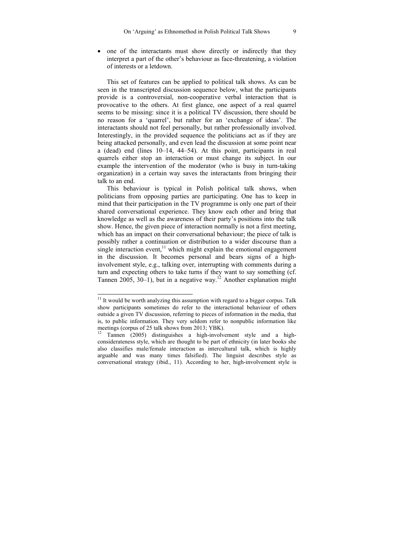• one of the interactants must show directly or indirectly that they interpret a part of the other's behaviour as face-threatening, a violation of interests or a letdown.

This set of features can be applied to political talk shows. As can be seen in the transcripted discussion sequence below, what the participants provide is a controversial, non-cooperative verbal interaction that is provocative to the others. At first glance, one aspect of a real quarrel seems to be missing: since it is a political TV discussion, there should be no reason for a 'quarrel', but rather for an 'exchange of ideas'. The interactants should not feel personally, but rather professionally involved. Interestingly, in the provided sequence the politicians act as if they are being attacked personally, and even lead the discussion at some point near a (dead) end (lines 10*–*14, 44*–*54). At this point, participants in real quarrels either stop an interaction or must change its subject. In our example the intervention of the moderator (who is busy in turn-taking organization) in a certain way saves the interactants from bringing their talk to an end.

This behaviour is typical in Polish political talk shows, when politicians from opposing parties are participating. One has to keep in mind that their participation in the TV programme is only one part of their shared conversational experience. They know each other and bring that knowledge as well as the awareness of their party's positions into the talk show. Hence, the given piece of interaction normally is not a first meeting, which has an impact on their conversational behaviour; the piece of talk is possibly rather a continuation or distribution to a wider discourse than a single interaction event, $\frac{11}{11}$  which might explain the emotional engagement in the discussion. It becomes personal and bears signs of a highinvolvement style, e.g., talking over, interrupting with comments during a turn and expecting others to take turns if they want to say something (cf. Tannen 2005, 30*–*1), but in a negative way.12 Another explanation might

 $11$  It would be worth analyzing this assumption with regard to a bigger corpus. Talk show participants sometimes do refer to the interactional behaviour of others outside a given TV discussion, referring to pieces of information in the media, that is, to public information. They very seldom refer to nonpublic information like meetings (corpus of 25 talk shows from 2013; YBK).

<sup>12</sup> Tannen (2005) distinguishes a high-involvement style and a highconsiderateness style, which are thought to be part of ethnicity (in later books she also classifies male/female interaction as intercultural talk, which is highly arguable and was many times falsified). The linguist describes style as conversational strategy (ibid., 11). According to her, high-involvement style is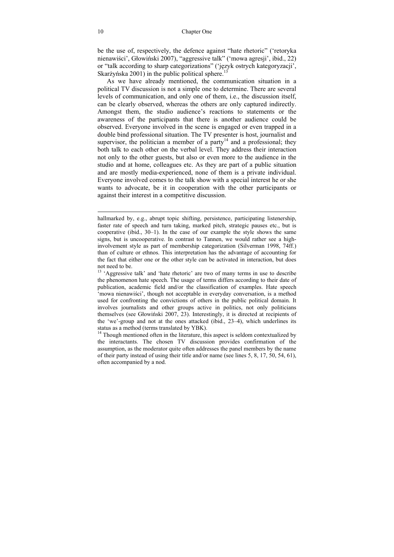be the use of, respectively, the defence against "hate rhetoric" ('retoryka nienawiści', Głowiński 2007), "aggressive talk" ('mowa agresji', ibid., 22) or "talk according to sharp categorizations" ('język ostrych kategoryzacji', Skarżyńska 2001) in the public political sphere.<sup>1</sup>

As we have already mentioned, the communication situation in a political TV discussion is not a simple one to determine. There are several levels of communication, and only one of them, i.e., the discussion itself, can be clearly observed, whereas the others are only captured indirectly. Amongst them, the studio audience's reactions to statements or the awareness of the participants that there is another audience could be observed. Everyone involved in the scene is engaged or even trapped in a double bind professional situation. The TV presenter is host, journalist and supervisor, the politician a member of a party<sup>14</sup> and a professional; they both talk to each other on the verbal level. They address their interaction not only to the other guests, but also or even more to the audience in the studio and at home, colleagues etc. As they are part of a public situation and are mostly media-experienced, none of them is a private individual. Everyone involved comes to the talk show with a special interest he or she wants to advocate, be it in cooperation with the other participants or against their interest in a competitive discussion.

hallmarked by, e.g., abrupt topic shifting, persistence, participating listenership, faster rate of speech and turn taking, marked pitch, strategic pauses etc., but is cooperative (ibid., 30–1). In the case of our example the style shows the same signs, but is uncooperative. In contrast to Tannen, we would rather see a highinvolvement style as part of membership categorization (Silverman 1998, 74ff.) than of culture or ethnos. This interpretation has the advantage of accounting for the fact that either one or the other style can be activated in interaction, but does not need to be.

 $13$  'Aggressive talk' and 'hate rhetoric' are two of many terms in use to describe the phenomenon hate speech. The usage of terms differs according to their date of publication, academic field and/or the classification of examples. Hate speech 'mowa nienawiści', though not acceptable in everyday conversation, is a method used for confronting the convictions of others in the public political domain. It involves journalists and other groups active in politics, not only politicians themselves (see Głowiński 2007, 23). Interestingly, it is directed at recipients of the 'we'-group and not at the ones attacked (ibid., 23–4), which underlines its status as a method (terms translated by YBK).

<sup>&</sup>lt;sup>14</sup> Though mentioned often in the literature, this aspect is seldom contextualized by the interactants. The chosen TV discussion provides confirmation of the assumption, as the moderator quite often addresses the panel members by the name of their party instead of using their title and/or name (see lines 5, 8, 17, 50, 54, 61), often accompanied by a nod.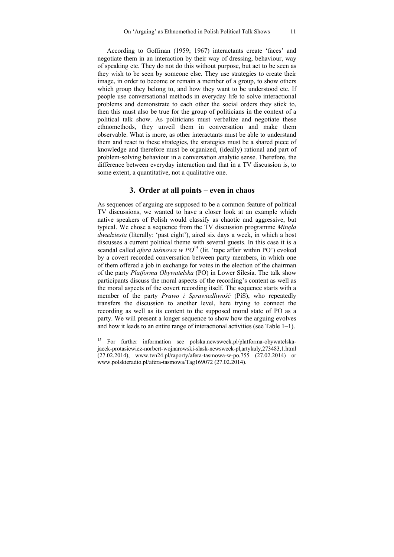According to Goffman (1959; 1967) interactants create 'faces' and negotiate them in an interaction by their way of dressing, behaviour, way of speaking etc. They do not do this without purpose, but act to be seen as they wish to be seen by someone else. They use strategies to create their image, in order to become or remain a member of a group, to show others which group they belong to, and how they want to be understood etc. If people use conversational methods in everyday life to solve interactional problems and demonstrate to each other the social orders they stick to, then this must also be true for the group of politicians in the context of a political talk show. As politicians must verbalize and negotiate these ethnomethods, they unveil them in conversation and make them observable. What is more, as other interactants must be able to understand them and react to these strategies, the strategies must be a shared piece of knowledge and therefore must be organized, (ideally) rational and part of problem-solving behaviour in a conversation analytic sense. Therefore, the difference between everyday interaction and that in a TV discussion is, to some extent, a quantitative, not a qualitative one.

### **3. Order at all points – even in chaos**

As sequences of arguing are supposed to be a common feature of political TV discussions, we wanted to have a closer look at an example which native speakers of Polish would classify as chaotic and aggressive, but typical. We chose a sequence from the TV discussion programme *Minęła dwudziesta* (literally: 'past eight'), aired six days a week, in which a host discusses a current political theme with several guests. In this case it is a scandal called *afera taśmowa w PO*<sup>15</sup> (lit. 'tape affair within PO') evoked by a covert recorded conversation between party members, in which one of them offered a job in exchange for votes in the election of the chairman of the party *Platforma Obywatelska* (PO) in Lower Silesia. The talk show participants discuss the moral aspects of the recording's content as well as the moral aspects of the covert recording itself. The sequence starts with a member of the party *Prawo i Sprawiedliwość* (PiS), who repeatedly transfers the discussion to another level, here trying to connect the recording as well as its content to the supposed moral state of PO as a party. We will present a longer sequence to show how the arguing evolves and how it leads to an entire range of interactional activities (see Table 1–1).

<sup>15</sup> 15 For further information see polska.newsweek.pl/platforma-obywatelskajacek-protasiewicz-norbert-wojnarowski-slask-newsweek-pl,artykuly,273483,1.html (27.02.2014), www.tvn24.pl/raporty/afera-tasmowa-w-po,755 (27.02.2014) or www.polskieradio.pl/afera-tasmowa/Tag169072 (27.02.2014).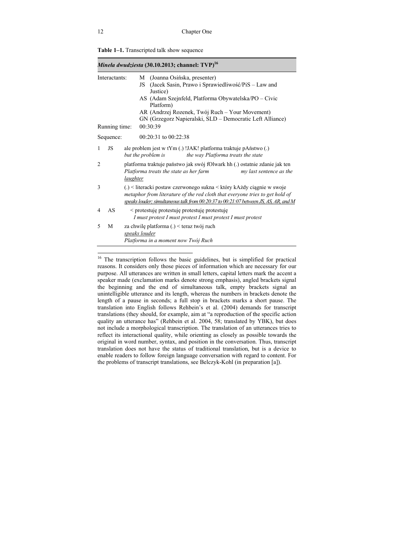| <i>Mineła dwudziesta</i> (30.10.2013; channel: $TVP)^{16}$ |               |                                                                                                                                                                                                                                                                                               |
|------------------------------------------------------------|---------------|-----------------------------------------------------------------------------------------------------------------------------------------------------------------------------------------------------------------------------------------------------------------------------------------------|
| Interactants:                                              |               | (Joanna Osińska, presenter)<br>М<br>(Jacek Sasin, Prawo i Sprawiedliwość/PiS – Law and<br>JS<br>Justice)<br>AS (Adam Szejnfeld, Platforma Obywatelska/PO – Civic<br>Platform)<br>AR (Andrzej Rozenek, Twój Ruch – Your Movement)<br>GN (Grzegorz Napieralski, SLD – Democratic Left Alliance) |
|                                                            | Running time: | 00:30:39                                                                                                                                                                                                                                                                                      |
|                                                            | Sequence:     | $00:20:31$ to $00:22:38$                                                                                                                                                                                                                                                                      |
| $\mathbf{1}$                                               | JS            | ale problem jest w tYm (.) !JAK! platforma traktuje pAństwo (.)<br>the way Platforma treats the state<br>but the problem is                                                                                                                                                                   |
| 2                                                          |               | platforma traktuje państwo jak swój fOlwark hh (.) ostatnie zdanie jak ten<br>Platforma treats the state as her farm<br>my last sentence as the<br>laughter                                                                                                                                   |
| 3                                                          |               | (.) < literacki postaw czerwonego sukna < który kAżdy ciągnie w swoje<br>metaphor from literature of the red cloth that everyone tries to get hold of<br>speaks louder; simultaneous talk from 00:20:37 to 00:21:07 between JS, AS, AR, and M                                                 |
| 4                                                          | AS            | < protestuje protestuje protestuje protestuje<br>I must protest I must protest I must protest I must protest                                                                                                                                                                                  |
| 5                                                          | М             | za chwilę platforma (.) < teraz twój ruch<br>speaks louder<br>Platforma in a moment now Twój Ruch                                                                                                                                                                                             |

|  | Table 1-1. Transcripted talk show sequence |  |  |
|--|--------------------------------------------|--|--|
|--|--------------------------------------------|--|--|

<sup>&</sup>lt;sup>16</sup> The transcription follows the basic guidelines, but is simplified for practical reasons. It considers only those pieces of information which are necessary for our purpose. All utterances are written in small letters, capital letters mark the accent a speaker made (exclamation marks denote strong emphasis), angled brackets signal the beginning and the end of simultaneous talk, empty brackets signal an unintelligible utterance and its length, whereas the numbers in brackets denote the length of a pause in seconds; a full stop in brackets marks a short pause. The translation into English follows Rehbein's et al. (2004) demands for transcript translations (they should, for example, aim at "a reproduction of the specific action quality an utterance has" (Rehbein et al. 2004, 58; translated by YBK), but does not include a morphological transcription. The translation of an utterances tries to reflect its interactional quality, while orienting as closely as possible towards the original in word number, syntax, and position in the conversation. Thus, transcript translation does not have the status of traditional translation, but is a device to enable readers to follow foreign language conversation with regard to content. For the problems of transcript translations, see Belczyk-Kohl (in preparation [a]).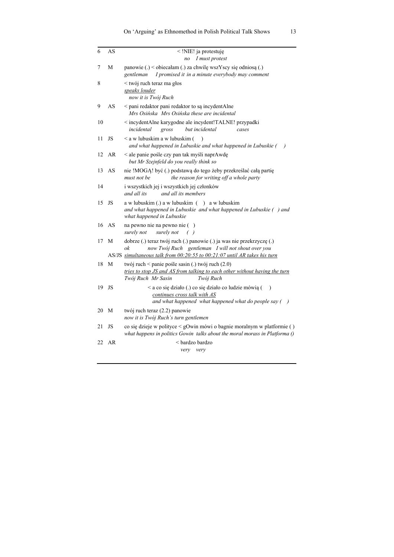| 6  | AS    | $\le$ !NIE! ja protestuje<br>I must protest<br>no                                                                                                                                                             |
|----|-------|---------------------------------------------------------------------------------------------------------------------------------------------------------------------------------------------------------------|
| 7  | М     | panowie (.) < objecałam (.) za chwilę wszYscy się odniosą (.)<br>I promised it in a minute everybody may comment<br>gentleman                                                                                 |
| 8  |       | < twój ruch teraz ma głos<br>speaks louder<br>now it is Twój Ruch                                                                                                                                             |
| 9  | AS    | < pani redaktor pani redaktor to są incydentAlne<br>Mrs Osińska Mrs Osińska these are incidental                                                                                                              |
| 10 |       | incydentAlne karygodne ale incydent!TALNE! przypadki<br>incidental<br>but incidental<br>gross<br>cases                                                                                                        |
| 11 | JS    | < a w lubuskim a w lubuskim (<br>$\lambda$<br>and what happened in Lubuskie and what happened in Lubuskie $($ )                                                                                               |
| 12 | AR    | < ale panie pośle czy pan tak myśli naprAwdę<br>but Mr Szejnfeld do you really think so                                                                                                                       |
| 13 | AS    | nie !MOGĄ! być (.) podstawą do tego żeby przekreślać całą partię<br>the reason for writing off a whole party<br>must not be                                                                                   |
| 14 |       | i wszystkich jej i wszystkich jej członków<br>and all its<br>and all its members                                                                                                                              |
| 15 | JS    | $a \le b$ lubuskim (.) $a \le b$ lubuskim ( $\rightarrow a \le b$ lubuskim<br>and what happened in Lubuskie and what happened in Lubuskie () and<br>what happened in Lubuskie                                 |
|    | 16 AS | na pewno nie na pewno nie ()<br>surely not<br>( )<br>surely not                                                                                                                                               |
| 17 | M     | dobrze (.) teraz twój ruch (.) panowie (.) ja was nie przekrzyczę (.)<br>now Twój Ruch gentleman I will not shout over you<br>ok<br>AS/JS simultaneous talk from 00:20:55 to 00:21:07 until AR takes his turn |
| 18 | M     | twój ruch < panie pośle sasin (.) twój ruch (2.0)<br>tries to stop JS and AS from talking to each other without having the turn<br>Twój Ruch Mr Sasin<br>Twój Ruch                                            |
| 19 | JS    | < a co się działo (.) co się działo co ludzie mówią (<br>$\mathcal{E}$<br>continues cross talk with AS<br>and what happened what happened what do people say ()                                               |
| 20 | M     | twój ruch teraz (2.2) panowie<br>now it is Twój Ruch's turn gentlemen                                                                                                                                         |
| 21 | JS    | co się dzieje w polityce < gOwin mówi o bagnie moralnym w platformie ()<br>what happens in politics Gowin talks about the moral morass in Platforma $\hat{O}$                                                 |
| 22 | AR    | < bardzo bardzo<br>very very                                                                                                                                                                                  |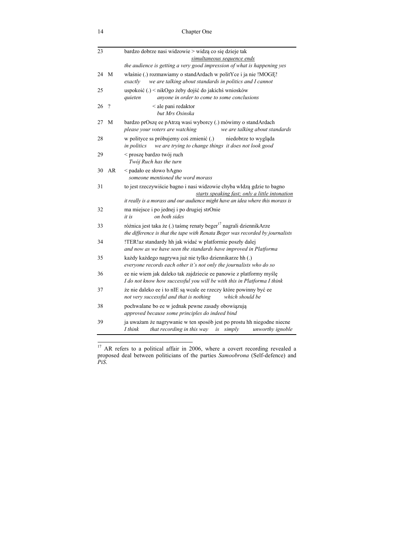| 23 |          | bardzo dobrze nasi widzowie > widzą co się dzieje tak                                                                                                                                                      |
|----|----------|------------------------------------------------------------------------------------------------------------------------------------------------------------------------------------------------------------|
|    |          | simultaneous sequence ends                                                                                                                                                                                 |
|    |          | the audience is getting a very good impression of what is happening yes                                                                                                                                    |
| 24 | M        | właśnie (.) rozmawiamy o standArdach w politYce i ja nie !MOGE!<br>we are talking about standards in politics and I cannot<br>exactly                                                                      |
| 25 |          | uspokoić (.) < nikOgo żeby dojść do jakichś wniosków<br>anyone in order to come to some conclusions<br>quieten                                                                                             |
| 26 | $\gamma$ | < ale pani redaktor<br>but Mrs Osinska                                                                                                                                                                     |
| 27 | М        | bardzo prOszę ee pAtrzą wasi wyborcy (.) mówimy o standArdach<br>we are talking about standards<br>please your voters are watching                                                                         |
| 28 |          | w polityce ss próbujemy coś zmienić (.)<br>niedobrze to wygląda<br>we are trying to change things it does not look good<br><i>in politics</i>                                                              |
| 29 |          | < proszę bardzo twój ruch<br>Twój Ruch has the turn                                                                                                                                                        |
| 30 | AR       | < padalo ee slowo bAgno<br>someone mentioned the word morass                                                                                                                                               |
| 31 |          | to jest rzeczywiście bagno i nasi widzowie chyba w Idzą gdzie to bagno<br>starts speaking fast; only a little intonation<br>it really is a morass and our audience might have an idea where this morass is |
| 32 |          | ma miejsce i po jednej i po drugiej strOnie<br>it is<br>on both sides                                                                                                                                      |
| 33 |          | różnica jest taka że (.) taśmę renaty beger <sup>17</sup> nagrali dziennikArze<br>the difference is that the tape with Renata Beger was recorded by journalists                                            |
| 34 |          | !TER!az standardy hh jak widać w platformie poszły dalej<br>and now as we have seen the standards have improved in Platforma                                                                               |
| 35 |          | każdy każdego nagrywa już nie tylko dziennikarze hh (.)<br>everyone records each other it's not only the journalists who do so                                                                             |
| 36 |          | ee nie wiem jak daleko tak zajdziecie ee panowie z platformy myślę<br>I do not know how successful you will be with this in Platforma I think                                                              |
| 37 |          | że nie daleko ee i to nIE są wcale ee rzeczy które powinny być ee<br>which should be<br>not very successful and that is nothing                                                                            |
| 38 |          | pochwalane bo ee w jednak pewne zasady obowiązują<br>approved because some principles do indeed bind                                                                                                       |
| 39 |          | ja uważam że nagrywanie w ten sposób jest po prostu hh niegodne niecne<br>I think<br>that recording in this way<br>unworthy ignoble<br>is<br>simply                                                        |

 $17$  AR refers to a political affair in 2006, where a covert recording revealed a proposed deal between politicians of the parties *Samoobrona* (Self-defence) and *PiS*.

l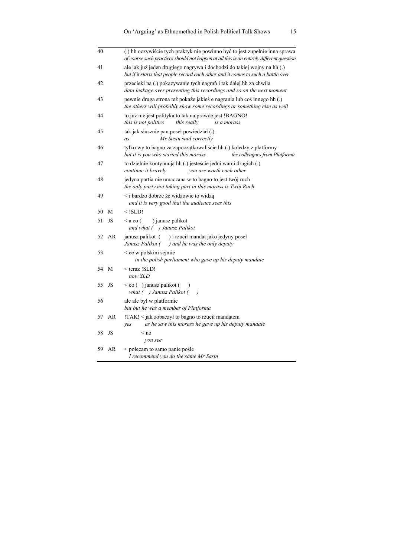| 40 |    | (.) hh oczywiście tych praktyk nie powinno być to jest zupełnie inna sprawa<br>of course such practices should not happen at all this is an entirely different question |
|----|----|-------------------------------------------------------------------------------------------------------------------------------------------------------------------------|
| 41 |    | ale jak już jeden drugiego nagrywa i dochodzi do takiej wojny na hh (.)<br>but if it starts that people record each other and it comes to such a battle over            |
| 42 |    | przecieki na (.) pokazywanie tych nagrań i tak dalej hh za chwila<br>data leakage over presenting this recordings and so on the next moment                             |
| 43 |    | pewnie druga strona też pokaże jakieś e nagrania lub coś innego hh (.)<br>the others will probably show some recordings or something else as well                       |
| 44 |    | to już nie jest polityka to tak na prawdę jest !BAGNO!<br>this is not politics<br>this really<br>is a morass                                                            |
| 45 |    | tak jak słusznie pan poseł powiedział (.)<br>Mr Sasin said correctly<br>as                                                                                              |
| 46 |    | tylko wy to bagno za zapoczątkowaliście hh (.) koledzy z platformy<br>but it is you who started this morass<br>the colleagues from Platforma                            |
| 47 |    | to dzielnie kontynuują hh (.) jesteście jedni warci drugich (.)<br>continue it bravely<br>you are worth each other                                                      |
| 48 |    | jedyna partia nie umaczana w to bagno to jest twój ruch<br>the only party not taking part in this morass is Twój Ruch                                                   |
| 49 |    | < i bardzo dobrze że widzowie to widzą<br>and it is very good that the audience sees this                                                                               |
| 50 | М  | $<$ !SLD!                                                                                                                                                               |
| 51 | JS | ) janusz palikot<br>$\leq$ a co (<br>and what ( ) Janusz Palikot                                                                                                        |
| 52 | AR | janusz palikot (<br>) i rzucił mandat jako jedyny poseł<br>Janusz Palikot (<br>) and he was the only deputy                                                             |
| 53 |    | < ee w polskim sejmie<br>in the polish parliament who gave up his deputy mandate                                                                                        |
| 54 | M  | < teraz !SLD!<br>now SLD                                                                                                                                                |
| 55 | JS | $\leq$ co ( ) janusz palikot (<br>what ( ) Janusz Palikot (<br>$\rightarrow$                                                                                            |
| 56 |    | ale ale był w platformie<br>but but he was a member of Platforma                                                                                                        |
| 57 | AR | !TAK! < jak zobaczył to bagno to rzucił mandatem<br>as he saw this morass he gave up his deputy mandate<br>yes                                                          |
| 58 | JS | $<$ no<br>you see                                                                                                                                                       |
| 59 | AR | < polecam to samo panie pośle<br>I recommend you do the same Mr Sasin                                                                                                   |